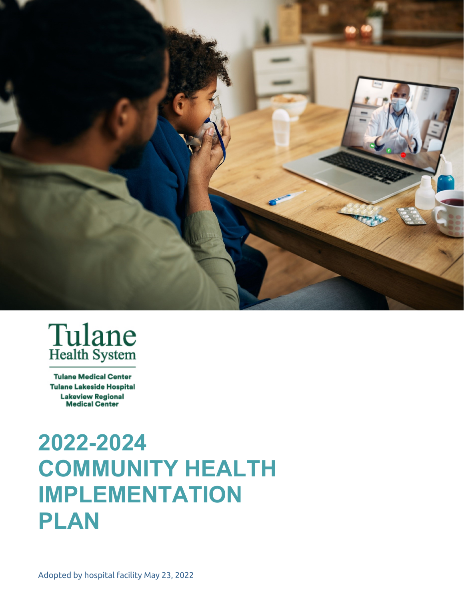



**Tulane Medical Center Tulane Lakeside Hospital Lakeview Regional Medical Center** 

# **2022-2024 COMMUNITY HEALTH IMPLEMENTATION PLAN**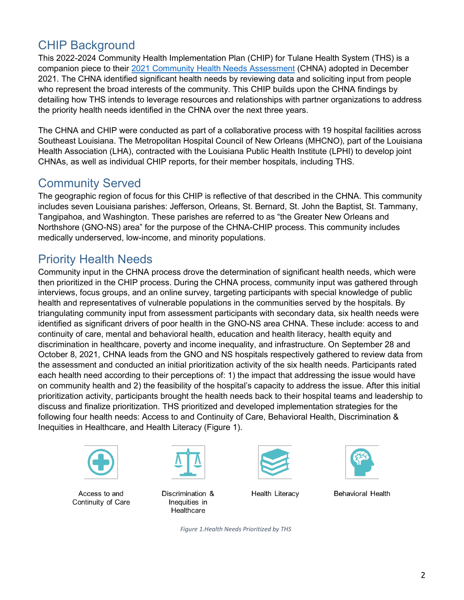# CHIP Background

This 2022-2024 Community Health Implementation Plan (CHIP) for Tulane Health System (THS) is a companion piece to their [2021 Community Health Needs Assessment](https://tulanehealthcare.com/util/documents/2022/CHNA_Tulane_12-22-2021-a.pdf) (CHNA) adopted in December 2021. The CHNA identified significant health needs by reviewing data and soliciting input from people who represent the broad interests of the community. This CHIP builds upon the CHNA findings by detailing how THS intends to leverage resources and relationships with partner organizations to address the priority health needs identified in the CHNA over the next three years.

The CHNA and CHIP were conducted as part of a collaborative process with 19 hospital facilities across Southeast Louisiana. The Metropolitan Hospital Council of New Orleans (MHCNO), part of the Louisiana Health Association (LHA), contracted with the Louisiana Public Health Institute (LPHI) to develop joint CHNAs, as well as individual CHIP reports, for their member hospitals, including THS.

## Community Served

The geographic region of focus for this CHIP is reflective of that described in the CHNA. This community includes seven Louisiana parishes: Jefferson, Orleans, St. Bernard, St. John the Baptist, St. Tammany, Tangipahoa, and Washington. These parishes are referred to as "the Greater New Orleans and Northshore (GNO-NS) area" for the purpose of the CHNA-CHIP process. This community includes medically underserved, low-income, and minority populations.

## Priority Health Needs

Community input in the CHNA process drove the determination of significant health needs, which were then prioritized in the CHIP process. During the CHNA process, community input was gathered through interviews, focus groups, and an online survey, targeting participants with special knowledge of public health and representatives of vulnerable populations in the communities served by the hospitals. By triangulating community input from assessment participants with secondary data, six health needs were identified as significant drivers of poor health in the GNO-NS area CHNA. These include: access to and continuity of care, mental and behavioral health, education and health literacy, health equity and discrimination in healthcare, poverty and income inequality, and infrastructure. On September 28 and October 8, 2021, CHNA leads from the GNO and NS hospitals respectively gathered to review data from the assessment and conducted an initial prioritization activity of the six health needs. Participants rated each health need according to their perceptions of: 1) the impact that addressing the issue would have on community health and 2) the feasibility of the hospital's capacity to address the issue. After this initial prioritization activity, participants brought the health needs back to their hospital teams and leadership to discuss and finalize prioritization. THS prioritized and developed implementation strategies for the following four health needs: Access to and Continuity of Care, Behavioral Health, Discrimination & Inequities in Healthcare, and Health Literacy (Figure 1).



Continuity of Care **Inequities** in







Access to and Discrimination & Health Literacy Behavioral Health **Healthcare** 

*Figure 1.Health Needs Prioritized by THS*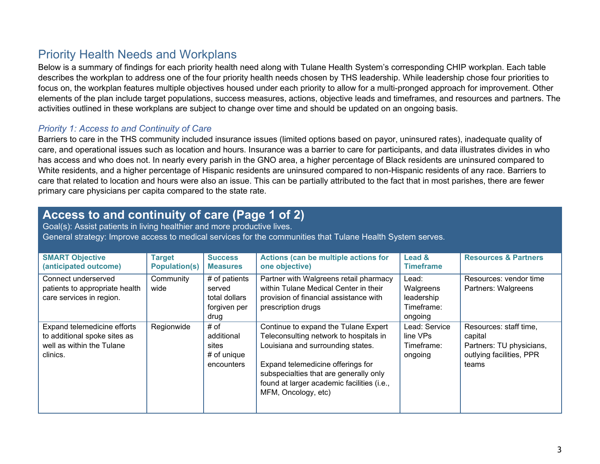## Priority Health Needs and Workplans

Below is a summary of findings for each priority health need along with Tulane Health System's corresponding CHIP workplan. Each table describes the workplan to address one of the four priority health needs chosen by THS leadership. While leadership chose four priorities to focus on, the workplan features multiple objectives housed under each priority to allow for a multi-pronged approach for improvement. Other elements of the plan include target populations, success measures, actions, objective leads and timeframes, and resources and partners. The activities outlined in these workplans are subject to change over time and should be updated on an ongoing basis.

#### *Priority 1: Access to and Continuity of Care*

Barriers to care in the THS community included insurance issues (limited options based on payor, uninsured rates), inadequate quality of care, and operational issues such as location and hours. Insurance was a barrier to care for participants, and data illustrates divides in who has access and who does not. In nearly every parish in the GNO area, a higher percentage of Black residents are uninsured compared to White residents, and a higher percentage of Hispanic residents are uninsured compared to non-Hispanic residents of any race. Barriers to care that related to location and hours were also an issue. This can be partially attributed to the fact that in most parishes, there are fewer primary care physicians per capita compared to the state rate.

#### **Access to and continuity of care (Page 1 of 2)**

Goal(s): Assist patients in living healthier and more productive lives. General strategy: Improve access to medical services for the communities that Tulane Health System serves.

| <b>SMART Objective</b><br>(anticipated outcome)                                                      | <b>Target</b><br><b>Population(s)</b> | <b>Success</b><br><b>Measures</b>                                | Actions (can be multiple actions for<br>one objective)                                                                                                                                                                                                                  | Lead &<br>Timeframe                                       | <b>Resources &amp; Partners</b>                                                                    |
|------------------------------------------------------------------------------------------------------|---------------------------------------|------------------------------------------------------------------|-------------------------------------------------------------------------------------------------------------------------------------------------------------------------------------------------------------------------------------------------------------------------|-----------------------------------------------------------|----------------------------------------------------------------------------------------------------|
| Connect underserved<br>patients to appropriate health<br>care services in region.                    | Community<br>wide                     | # of patients<br>served<br>total dollars<br>forgiven per<br>drug | Partner with Walgreens retail pharmacy<br>within Tulane Medical Center in their<br>provision of financial assistance with<br>prescription drugs                                                                                                                         | Lead:<br>Walgreens<br>leadership<br>Timeframe:<br>ongoing | Resources: vendor time<br>Partners: Walgreens                                                      |
| Expand telemedicine efforts<br>to additional spoke sites as<br>well as within the Tulane<br>clinics. | Regionwide                            | # of<br>additional<br>sites<br>$#$ of unique<br>encounters       | Continue to expand the Tulane Expert<br>Teleconsulting network to hospitals in<br>Louisiana and surrounding states.<br>Expand telemedicine offerings for<br>subspecialties that are generally only<br>found at larger academic facilities (i.e.,<br>MFM, Oncology, etc) | Lead: Service<br>line VPs<br>Timeframe:<br>ongoing        | Resources: staff time,<br>capital<br>Partners: TU physicians,<br>outlying facilities, PPR<br>teams |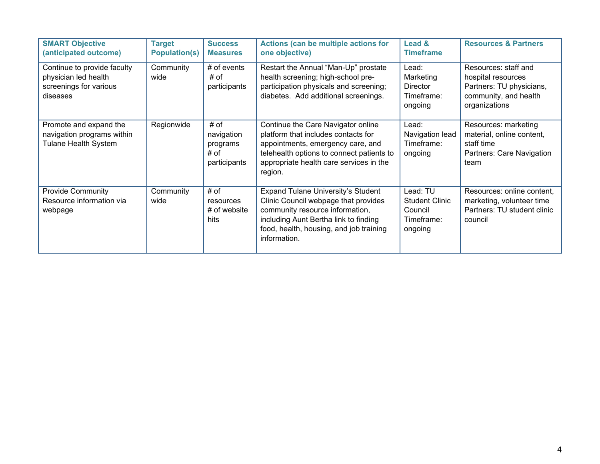| <b>SMART Objective</b><br>(anticipated outcome)                                           | <b>Target</b><br><b>Population(s)</b> | <b>Success</b><br><b>Measures</b>                      | Actions (can be multiple actions for<br>one objective)                                                                                                                                                            | Lead &<br><b>Timeframe</b>                                            | <b>Resources &amp; Partners</b>                                                                                  |
|-------------------------------------------------------------------------------------------|---------------------------------------|--------------------------------------------------------|-------------------------------------------------------------------------------------------------------------------------------------------------------------------------------------------------------------------|-----------------------------------------------------------------------|------------------------------------------------------------------------------------------------------------------|
| Continue to provide faculty<br>physician led health<br>screenings for various<br>diseases | Community<br>wide                     | $#$ of events<br># of<br>participants                  | Restart the Annual "Man-Up" prostate<br>health screening; high-school pre-<br>participation physicals and screening;<br>diabetes. Add additional screenings.                                                      | Lead:<br>Marketing<br><b>Director</b><br>Timeframe:<br>ongoing        | Resources: staff and<br>hospital resources<br>Partners: TU physicians,<br>community, and health<br>organizations |
| Promote and expand the<br>navigation programs within<br><b>Tulane Health System</b>       | Regionwide                            | # of<br>navigation<br>programs<br># of<br>participants | Continue the Care Navigator online<br>platform that includes contacts for<br>appointments, emergency care, and<br>telehealth options to connect patients to<br>appropriate health care services in the<br>region. | Lead:<br>Navigation lead<br>Timeframe:<br>ongoing                     | Resources: marketing<br>material, online content,<br>staff time<br>Partners: Care Navigation<br>team             |
| <b>Provide Community</b><br>Resource information via<br>webpage                           | Community<br>wide                     | # of<br>resources<br># of website<br>hits              | Expand Tulane University's Student<br>Clinic Council webpage that provides<br>community resource information,<br>including Aunt Bertha link to finding<br>food, health, housing, and job training<br>information. | Lead: TU<br><b>Student Clinic</b><br>Council<br>Timeframe:<br>ongoing | Resources: online content,<br>marketing, volunteer time<br>Partners: TU student clinic<br>council                |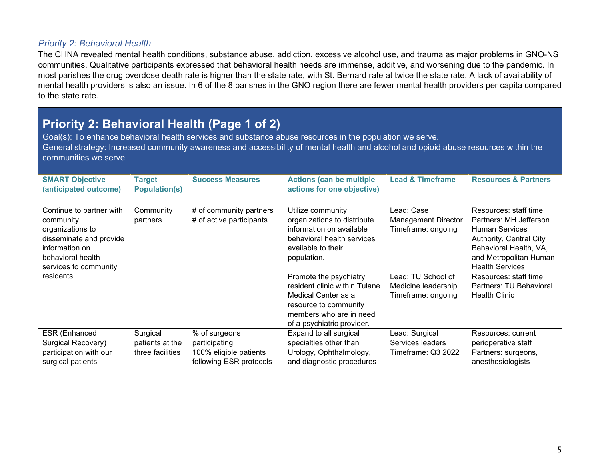#### *Priority 2: Behavioral Health*

The CHNA revealed mental health conditions, substance abuse, addiction, excessive alcohol use, and trauma as major problems in GNO-NS communities. Qualitative participants expressed that behavioral health needs are immense, additive, and worsening due to the pandemic. In most parishes the drug overdose death rate is higher than the state rate, with St. Bernard rate at twice the state rate. A lack of availability of mental health providers is also an issue. In 6 of the 8 parishes in the GNO region there are fewer mental health providers per capita compared to the state rate.

# **Priority 2: Behavioral Health (Page 1 of 2)**

Goal(s): To enhance behavioral health services and substance abuse resources in the population we serve. General strategy: Increased community awareness and accessibility of mental health and alcohol and opioid abuse resources within the communities we serve.

| <b>SMART Objective</b><br>(anticipated outcome)                                                                                                      | <b>Target</b><br><b>Population(s)</b>           | <b>Success Measures</b>                                                             | <b>Actions (can be multiple</b><br>actions for one objective)                                                                                                    | <b>Lead &amp; Timeframe</b>                                     | <b>Resources &amp; Partners</b>                                                                                                                                                   |
|------------------------------------------------------------------------------------------------------------------------------------------------------|-------------------------------------------------|-------------------------------------------------------------------------------------|------------------------------------------------------------------------------------------------------------------------------------------------------------------|-----------------------------------------------------------------|-----------------------------------------------------------------------------------------------------------------------------------------------------------------------------------|
| Continue to partner with<br>community<br>organizations to<br>disseminate and provide<br>information on<br>behavioral health<br>services to community | Community<br>partners                           | # of community partners<br># of active participants                                 | Utilize community<br>organizations to distribute<br>information on available<br>behavioral health services<br>available to their<br>population.                  | Lead: Case<br><b>Management Director</b><br>Timeframe: ongoing  | Resources: staff time<br>Partners: MH Jefferson<br><b>Human Services</b><br>Authority, Central City<br>Behavioral Health, VA,<br>and Metropolitan Human<br><b>Health Services</b> |
| residents.                                                                                                                                           |                                                 |                                                                                     | Promote the psychiatry<br>resident clinic within Tulane<br>Medical Center as a<br>resource to community<br>members who are in need<br>of a psychiatric provider. | Lead: TU School of<br>Medicine leadership<br>Timeframe: ongoing | Resources: staff time<br>Partners: TU Behavioral<br><b>Health Clinic</b>                                                                                                          |
| ESR (Enhanced<br>Surgical Recovery)<br>participation with our<br>surgical patients                                                                   | Surgical<br>patients at the<br>three facilities | % of surgeons<br>participating<br>100% eligible patients<br>following ESR protocols | Expand to all surgical<br>specialties other than<br>Urology, Ophthalmology,<br>and diagnostic procedures                                                         | Lead: Surgical<br>Services leaders<br>Timeframe: Q3 2022        | Resources: current<br>perioperative staff<br>Partners: surgeons,<br>anesthesiologists                                                                                             |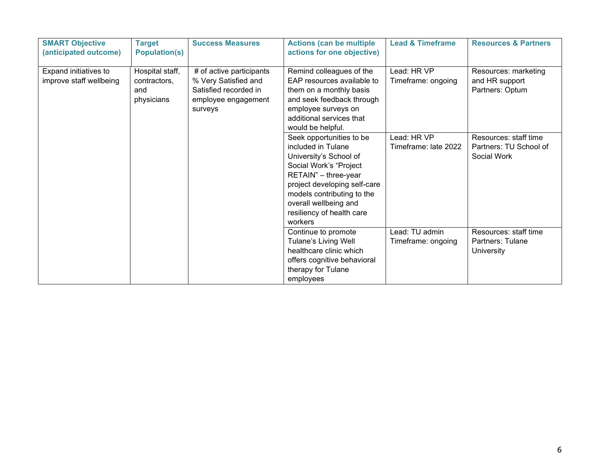| <b>SMART Objective</b><br>(anticipated outcome)  | <b>Target</b><br><b>Population(s)</b>                | <b>Success Measures</b>                                                                                     | <b>Actions (can be multiple</b><br>actions for one objective)                                                                                                                                                                                             | <b>Lead &amp; Timeframe</b>          | <b>Resources &amp; Partners</b>                                |
|--------------------------------------------------|------------------------------------------------------|-------------------------------------------------------------------------------------------------------------|-----------------------------------------------------------------------------------------------------------------------------------------------------------------------------------------------------------------------------------------------------------|--------------------------------------|----------------------------------------------------------------|
| Expand initiatives to<br>improve staff wellbeing | Hospital staff,<br>contractors,<br>and<br>physicians | # of active participants<br>% Very Satisfied and<br>Satisfied recorded in<br>employee engagement<br>surveys | Remind colleagues of the<br>EAP resources available to<br>them on a monthly basis<br>and seek feedback through<br>employee surveys on<br>additional services that<br>would be helpful.                                                                    | Lead: HR VP<br>Timeframe: ongoing    | Resources: marketing<br>and HR support<br>Partners: Optum      |
|                                                  |                                                      |                                                                                                             | Seek opportunities to be<br>included in Tulane<br>University's School of<br>Social Work's "Project<br>RETAIN" - three-year<br>project developing self-care<br>models contributing to the<br>overall wellbeing and<br>resiliency of health care<br>workers | Lead: HR VP<br>Timeframe: late 2022  | Resources: staff time<br>Partners: TU School of<br>Social Work |
|                                                  |                                                      |                                                                                                             | Continue to promote<br><b>Tulane's Living Well</b><br>healthcare clinic which<br>offers cognitive behavioral<br>therapy for Tulane<br>employees                                                                                                           | Lead: TU admin<br>Timeframe: ongoing | Resources: staff time<br>Partners: Tulane<br><b>University</b> |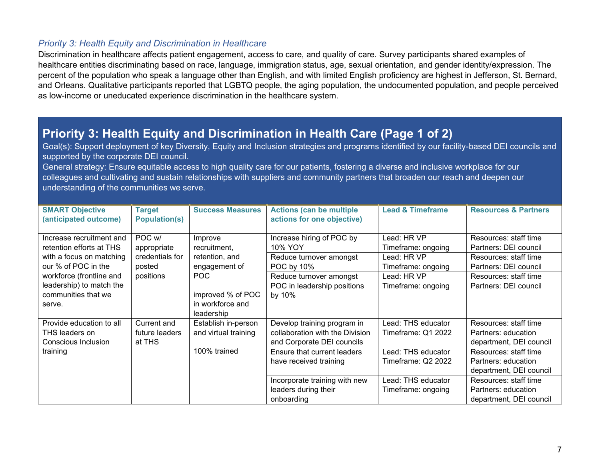#### *Priority 3: Health Equity and Discrimination in Healthcare*

Discrimination in healthcare affects patient engagement, access to care, and quality of care. Survey participants shared examples of healthcare entities discriminating based on race, language, immigration status, age, sexual orientation, and gender identity/expression. The percent of the population who speak a language other than English, and with limited English proficiency are highest in Jefferson, St. Bernard, and Orleans. Qualitative participants reported that LGBTQ people, the aging population, the undocumented population, and people perceived as low-income or uneducated experience discrimination in the healthcare system.

#### **Priority 3: Health Equity and Discrimination in Health Care (Page 1 of 2)**

Goal(s): Support deployment of key Diversity, Equity and Inclusion strategies and programs identified by our facility-based DEI councils and supported by the corporate DEI council.

General strategy: Ensure equitable access to high quality care for our patients, fostering a diverse and inclusive workplace for our colleagues and cultivating and sustain relationships with suppliers and community partners that broaden our reach and deepen our understanding of the communities we serve.

| <b>SMART Objective</b><br>(anticipated outcome) | <b>Target</b><br><b>Population(s)</b> | <b>Success Measures</b> | <b>Actions (can be multiple</b><br>actions for one objective) | <b>Lead &amp; Timeframe</b> | <b>Resources &amp; Partners</b> |
|-------------------------------------------------|---------------------------------------|-------------------------|---------------------------------------------------------------|-----------------------------|---------------------------------|
| Increase recruitment and                        | POC w/                                | Improve                 | Increase hiring of POC by                                     | Lead: HR VP                 | Resources: staff time           |
| retention efforts at THS                        | appropriate                           | recruitment.            | 10% YOY                                                       | Timeframe: ongoing          | Partners: DEI council           |
| with a focus on matching                        | credentials for                       | retention, and          | Reduce turnover amongst                                       | Lead: HR VP                 | Resources: staff time           |
| our % of POC in the                             | posted                                | engagement of           | POC by 10%                                                    | Timeframe: ongoing          | Partners: DEI council           |
| workforce (frontline and                        | positions                             | POC                     | Reduce turnover amongst                                       | Lead: HR VP                 | Resources: staff time           |
| leadership) to match the                        |                                       |                         | POC in leadership positions                                   | Timeframe: ongoing          | Partners: DEI council           |
| communities that we                             |                                       | improved % of POC       | by 10%                                                        |                             |                                 |
| serve.                                          |                                       | in workforce and        |                                                               |                             |                                 |
|                                                 |                                       | leadership              |                                                               |                             |                                 |
| Provide education to all                        | Current and                           | Establish in-person     | Develop training program in                                   | Lead: THS educator          | Resources: staff time           |
| THS leaders on                                  | future leaders                        | and virtual training    | collaboration with the Division                               | Timeframe: Q1 2022          | Partners: education             |
| Conscious Inclusion                             | at THS                                |                         | and Corporate DEI councils                                    |                             | department, DEI council         |
| training                                        |                                       | 100% trained            | Ensure that current leaders                                   | Lead: THS educator          | Resources: staff time           |
|                                                 |                                       |                         | have received training                                        | Timeframe: Q2 2022          | Partners: education             |
|                                                 |                                       |                         |                                                               |                             | department, DEI council         |
|                                                 |                                       |                         | Incorporate training with new                                 | Lead: THS educator          | Resources: staff time           |
|                                                 |                                       |                         | leaders during their                                          | Timeframe: ongoing          | Partners: education             |
|                                                 |                                       |                         | onboarding                                                    |                             | department, DEI council         |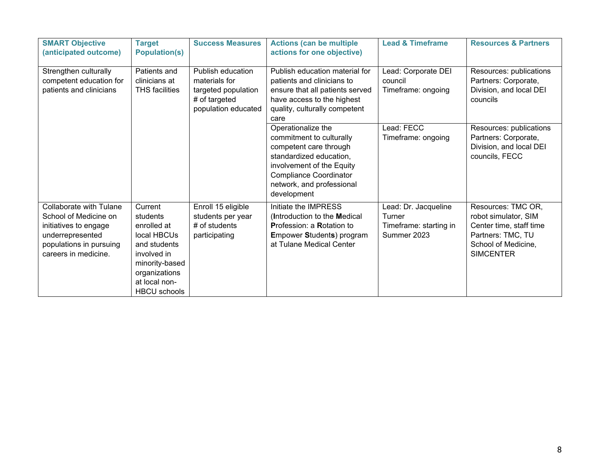| <b>SMART Objective</b><br>(anticipated outcome)                                                                                                  | <b>Target</b><br><b>Population(s)</b>                                                                                                                       | <b>Success Measures</b>                                                                           | <b>Actions (can be multiple</b><br>actions for one objective)                                                                                                                                                 | <b>Lead &amp; Timeframe</b>                                             | <b>Resources &amp; Partners</b>                                                                                                       |
|--------------------------------------------------------------------------------------------------------------------------------------------------|-------------------------------------------------------------------------------------------------------------------------------------------------------------|---------------------------------------------------------------------------------------------------|---------------------------------------------------------------------------------------------------------------------------------------------------------------------------------------------------------------|-------------------------------------------------------------------------|---------------------------------------------------------------------------------------------------------------------------------------|
| Strengthen culturally<br>competent education for<br>patients and clinicians                                                                      | Patients and<br>clinicians at<br><b>THS</b> facilities                                                                                                      | Publish education<br>materials for<br>targeted population<br># of targeted<br>population educated | Publish education material for<br>patients and clinicians to<br>ensure that all patients served<br>have access to the highest<br>quality, culturally competent<br>care                                        | Lead: Corporate DEI<br>council<br>Timeframe: ongoing                    | Resources: publications<br>Partners: Corporate,<br>Division, and local DEI<br>councils                                                |
|                                                                                                                                                  |                                                                                                                                                             |                                                                                                   | Operationalize the<br>commitment to culturally<br>competent care through<br>standardized education,<br>involvement of the Equity<br><b>Compliance Coordinator</b><br>network, and professional<br>development | Lead: FECC<br>Timeframe: ongoing                                        | Resources: publications<br>Partners: Corporate,<br>Division, and local DEI<br>councils, FECC                                          |
| Collaborate with Tulane<br>School of Medicine on<br>initiatives to engage<br>underrepresented<br>populations in pursuing<br>careers in medicine. | Current<br>students<br>enrolled at<br>local HBCUs<br>and students<br>involved in<br>minority-based<br>organizations<br>at local non-<br><b>HBCU</b> schools | Enroll 15 eligible<br>students per year<br>$#$ of students<br>participating                       | Initiate the IMPRESS<br>(Introduction to the Medical<br>Profession: a Rotation to<br><b>Empower Students) program</b><br>at Tulane Medical Center                                                             | Lead: Dr. Jacqueline<br>Turner<br>Timeframe: starting in<br>Summer 2023 | Resources: TMC OR,<br>robot simulator, SIM<br>Center time, staff time<br>Partners: TMC, TU<br>School of Medicine,<br><b>SIMCENTER</b> |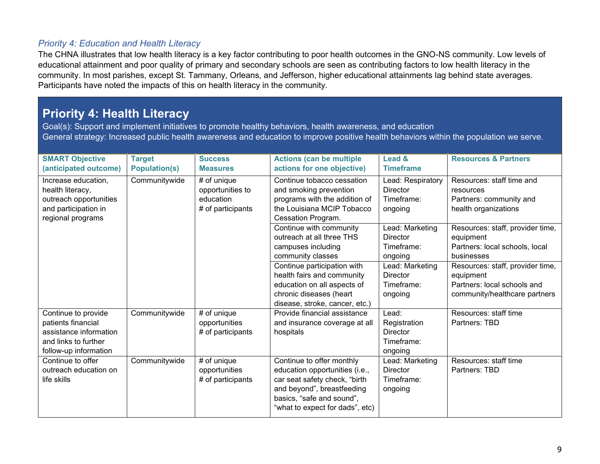#### *Priority 4: Education and Health Literacy*

The CHNA illustrates that low health literacy is a key factor contributing to poor health outcomes in the GNO-NS community. Low levels of educational attainment and poor quality of primary and secondary schools are seen as contributing factors to low health literacy in the community. In most parishes, except St. Tammany, Orleans, and Jefferson, higher educational attainments lag behind state averages. Participants have noted the impacts of this on health literacy in the community.

## **Priority 4: Health Literacy**

Goal(s): Support and implement initiatives to promote healthy behaviors, health awareness, and education General strategy: Increased public health awareness and education to improve positive health behaviors within the population we serve.

| <b>SMART Objective</b><br>(anticipated outcome)                                                                      | <b>Target</b><br><b>Population(s)</b> | <b>Success</b><br><b>Measures</b>                                 | <b>Actions (can be multiple</b><br>actions for one objective)                                                                                                                              | Lead &<br><b>Timeframe</b>                                        | <b>Resources &amp; Partners</b>                                                                               |
|----------------------------------------------------------------------------------------------------------------------|---------------------------------------|-------------------------------------------------------------------|--------------------------------------------------------------------------------------------------------------------------------------------------------------------------------------------|-------------------------------------------------------------------|---------------------------------------------------------------------------------------------------------------|
| Increase education,<br>health literacy,<br>outreach opportunities<br>and participation in<br>regional programs       | Communitywide                         | # of unique<br>opportunities to<br>education<br># of participants | Continue tobacco cessation<br>and smoking prevention<br>programs with the addition of<br>the Louisiana MCIP Tobacco<br>Cessation Program.                                                  | Lead: Respiratory<br><b>Director</b><br>Timeframe:<br>ongoing     | Resources: staff time and<br>resources<br>Partners: community and<br>health organizations                     |
|                                                                                                                      |                                       |                                                                   | Continue with community<br>outreach at all three THS<br>campuses including<br>community classes                                                                                            | Lead: Marketing<br><b>Director</b><br>Timeframe:<br>ongoing       | Resources: staff, provider time,<br>equipment<br>Partners: local schools, local<br>businesses                 |
|                                                                                                                      |                                       |                                                                   | Continue participation with<br>health fairs and community<br>education on all aspects of<br>chronic diseases (heart<br>disease, stroke, cancer, etc.)                                      | Lead: Marketing<br><b>Director</b><br>Timeframe:<br>ongoing       | Resources: staff, provider time,<br>equipment<br>Partners: local schools and<br>community/healthcare partners |
| Continue to provide<br>patients financial<br>assistance information<br>and links to further<br>follow-up information | Communitywide                         | # of unique<br>opportunities<br># of participants                 | Provide financial assistance<br>and insurance coverage at all<br>hospitals                                                                                                                 | Lead:<br>Registration<br><b>Director</b><br>Timeframe:<br>ongoing | Resources: staff time<br>Partners: TBD                                                                        |
| Continue to offer<br>outreach education on<br>life skills                                                            | Communitywide                         | # of unique<br>opportunities<br># of participants                 | Continue to offer monthly<br>education opportunities (i.e.,<br>car seat safety check, "birth<br>and beyond", breastfeeding<br>basics, "safe and sound",<br>"what to expect for dads", etc) | Lead: Marketing<br><b>Director</b><br>Timeframe:<br>ongoing       | Resources: staff time<br>Partners: TBD                                                                        |